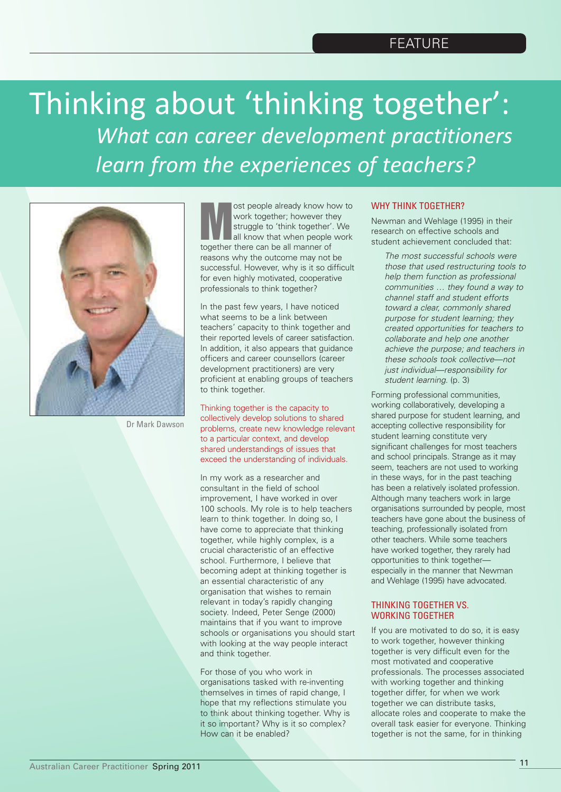# Thinking about 'thinking together': *What can career development practitioners learn from the experiences of teachers?*



Dr Mark Dawson

ost people already know how to<br>work together; however they<br>struggle to 'think together'. We<br>all know that when people work work together; however they struggle to 'think together'. We all know that when people work together there can be all manner of reasons why the outcome may not be successful. However, why is it so difficult for even highly motivated, cooperative professionals to think together?

In the past few years, I have noticed what seems to be a link between teachers' capacity to think together and their reported levels of career satisfaction. In addition, it also appears that guidance officers and career counsellors (career development practitioners) are very proficient at enabling groups of teachers to think together.

Thinking together is the capacity to collectively develop solutions to shared problems, create new knowledge relevant to a particular context, and develop shared understandings of issues that exceed the understanding of individuals.

In my work as a researcher and consultant in the field of school improvement, I have worked in over 100 schools. My role is to help teachers learn to think together. In doing so, I have come to appreciate that thinking together, while highly complex, is a crucial characteristic of an effective school. Furthermore, I believe that becoming adept at thinking together is an essential characteristic of any organisation that wishes to remain relevant in today's rapidly changing society. Indeed, Peter Senge (2000) maintains that if you want to improve schools or organisations you should start with looking at the way people interact and think together.

For those of you who work in organisations tasked with re-inventing themselves in times of rapid change, I hope that my reflections stimulate you to think about thinking together. Why is it so important? Why is it so complex? How can it be enabled?

## WHY THINK TOGETHER?

Newman and Wehlage (1995) in their research on effective schools and student achievement concluded that:

*The most successful schools were those that used restructuring tools to help them function as professional communities … they found a way to channel staff and student efforts toward a clear, commonly shared purpose for student learning; they created opportunities for teachers to collaborate and help one another achieve the purpose; and teachers in these schools took collective—not just individual—responsibility for student learning.* (p. 3)

Forming professional communities, working collaboratively, developing a shared purpose for student learning, and accepting collective responsibility for student learning constitute very significant challenges for most teachers and school principals. Strange as it may seem, teachers are not used to working in these ways, for in the past teaching has been a relatively isolated profession. Although many teachers work in large organisations surrounded by people, most teachers have gone about the business of teaching, professionally isolated from other teachers. While some teachers have worked together, they rarely had opportunities to think together especially in the manner that Newman and Wehlage (1995) have advocated.

## THINKING TOGETHER VS. WORKING TOGETHER

If you are motivated to do so, it is easy to work together, however thinking together is very difficult even for the most motivated and cooperative professionals. The processes associated with working together and thinking together differ, for when we work together we can distribute tasks, allocate roles and cooperate to make the overall task easier for everyone. Thinking together is not the same, for in thinking